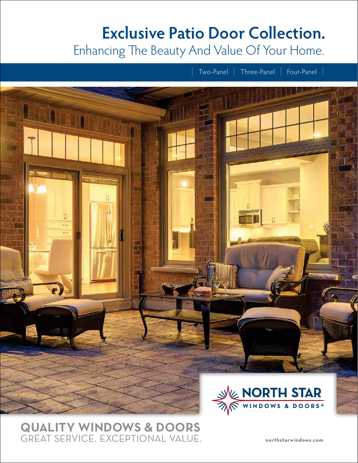# **Exclusive Patio Door Collection.**  Enhancing The Beauty And Value Of Your Home.



# **QUALITY WINDOWS & DOORS**  GREAT SERVICE. EXCEPTIONAL VALUE.

**northstarwindows.com**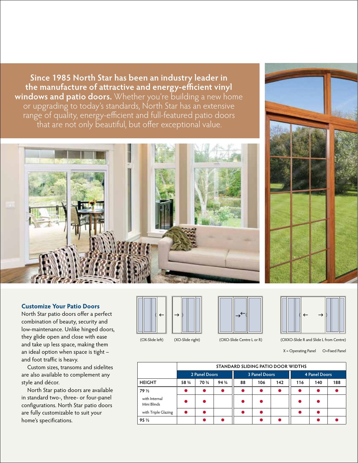**Since 1985 North Star has been an industry leader in**  the manufacture of attractive and energy-efficient vinyl **windows and patio doors.** Whether you're building a new home or upgrading to today's standards, North Star has an extensive range of quality, energy-efficient and full-featured patio doors that are not only beautiful, but offer exceptional value.



# **Customize Your Patio Doors**

North Star patio doors offer a perfect combination of beauty, security and low-maintenance. Unlike hinged doors, they glide open and close with ease and take up less space, making them an ideal option when space is tight – and foot traffic is heavy.

 Custom sizes, transoms and sidelites are also available to complement any style and décor.

 North Star patio doors are available in standard two-, three- or four-panel configurations. North Star patio doors are fully customizable to suit your home's specifications.







#### (OX-Slide left) (XO-Slide right) (OXO-Slide Centre L or R)

(OXXO-Slide R and Slide L from Centre) X = Operating Panel O=Fixed Panel

 $\rightarrow$ 

 $\leftarrow$ 

|                              | STANDARD SLIDING PATIO DOOR WIDTHS |        |        |                      |     |     |                      |     |     |  |
|------------------------------|------------------------------------|--------|--------|----------------------|-----|-----|----------------------|-----|-----|--|
|                              | 2 Panel Doors                      |        |        | <b>3 Panel Doors</b> |     |     | <b>4 Panel Doors</b> |     |     |  |
| <b>HEIGHT</b>                | 58 3/4                             | 70 3/4 | 94 3/4 | 88                   | 106 | 142 | 116                  | 140 | 188 |  |
| 79 1/2                       |                                    |        |        |                      |     |     |                      |     |     |  |
| with Internal<br>Mini Blinds |                                    |        |        |                      |     |     |                      |     |     |  |
| with Triple Glazing          |                                    |        |        |                      |     |     |                      |     |     |  |
| 95 1/2                       |                                    |        |        |                      |     |     |                      |     |     |  |

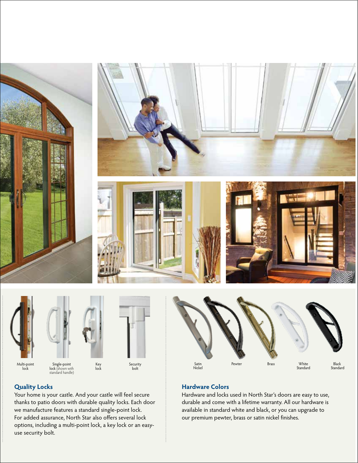







Multi-point lock

Single-point **lock** (shown with<br>standard handle)



Security bolt

White Standard Black Standard Satin Pewter Brass Nickel

# **Hardware Colors**

Hardware and locks used in North Star's doors are easy to use, durable and come with a lifetime warranty. All our hardware is available in standard white and black, or you can upgrade to our premium pewter, brass or satin nickel finishes.

# **Quality Locks**

Your home is your castle. And your castle will feel secure thanks to patio doors with durable quality locks. Each door we manufacture features a standard single-point lock. For added assurance, North Star also offers several lock options, including a multi-point lock, a key lock or an easyuse security bolt.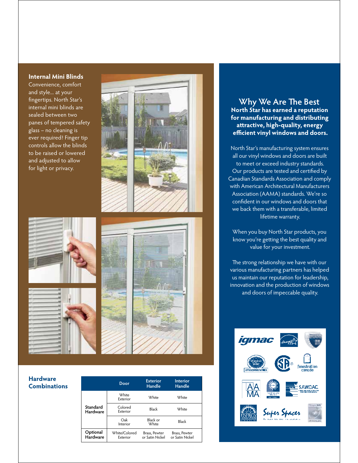#### **Internal Mini Blinds**

Convenience, comfort and style... at your fingertips. North Star's internal mini blinds are sealed between two panes of tempered safety glass – no cleaning is ever required! Finger tip controls allow the blinds to be raised or lowered and adjusted to allow for light or privacy.



#### **Hardware Combinations**

|                             | Door                      | <b>Exterior</b><br>Handle        | <b>Interior</b><br>Handle        |  |
|-----------------------------|---------------------------|----------------------------------|----------------------------------|--|
| Standard<br><b>Hardware</b> | <b>White</b><br>Exterior  | <b>White</b>                     | <b>White</b>                     |  |
|                             | Colored<br>Exterior       | Black                            | <b>White</b>                     |  |
|                             | Oak<br>Interior           | Black or<br><b>White</b>         | Black                            |  |
| Optional<br>Hardware        | White/Colored<br>Exterior | Brass, Pewter<br>or Satin Nickel | Brass, Pewter<br>or Satin Nickel |  |
|                             |                           |                                  |                                  |  |

### **Why We Are The Best North Star has earned a reputation for manufacturing and distributing a ractive, high-quality, energy efficient vinyl windows and doors.**

North Star's manufacturing system ensures all our vinyl windows and doors are built to meet or exceed industry standards. Our products are tested and certified by Canadian Standards Association and comply with American Architectural Manufacturers Association (AAMA) standards. We're so confident in our windows and doors that we back them with a transferable, limited lifetime warranty.

When you buy North Star products, you know you're getting the best quality and value for your investment.

The strong relationship we have with our various manufacturing partners has helped us maintain our reputation for leadership, innovation and the production of windows and doors of impeccable quality.

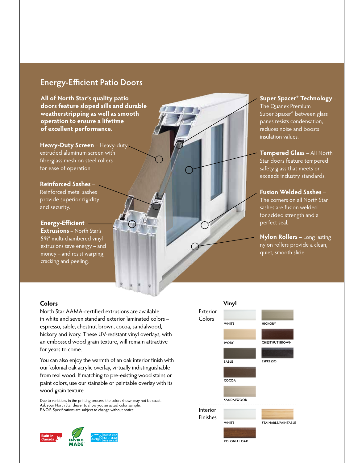# **Energy-Efficient Patio Doors**

**All of North Star's quality patio doors feature sloped sills and durable weatherstripping as well as smooth operation to ensure a lifetime of excellent performance.** 

**Heavy-Duty Screen** – Heavy-duty extruded aluminum screen with fiberglass mesh on steel rollers for ease of operation.

**Reinforced Sashes** – Reinforced metal sashes provide superior rigidity and security.

**Energy-Efficient Extrusions** – North Star's 5⅝″ multi-chambered vinyl

extrusions save energy – and money – and resist warping, cracking and peeling.

## **Super Spacer® Technology** – The Quanex Premium Super Spacer® between glass panes resists condensation, reduces noise and boosts insulation values.

**Tempered Glass** – All North Star doors feature tempered safety glass that meets or exceeds industry standards.

**Fusion Welded Sashes** – The corners on all North Star sashes are fusion welded for added strength and a perfect seal.

**Nylon Rollers** – Long lasting nylon rollers provide a clean, quiet, smooth slide.

#### **Colors**

North Star AAMA-certified extrusions are available in white and seven standard exterior laminated colors – espresso, sable, chestnut brown, cocoa, sandalwood, hickory and ivory. These UV-resistant vinyl overlays, with an embossed wood grain texture, will remain attractive for years to come.

You can also enjoy the warmth of an oak interior finish with our kolonial oak acrylic overlay, virtually indistinguishable from real wood. If matching to pre-existing wood stains or paint colors, use our stainable or paintable overlay with its wood grain texture.

Due to variations in the printing process, the colors shown may not be exact. Ask your North Star dealer to show you an actual color sample. E.&O.E. Specifications are subject to change without notice.